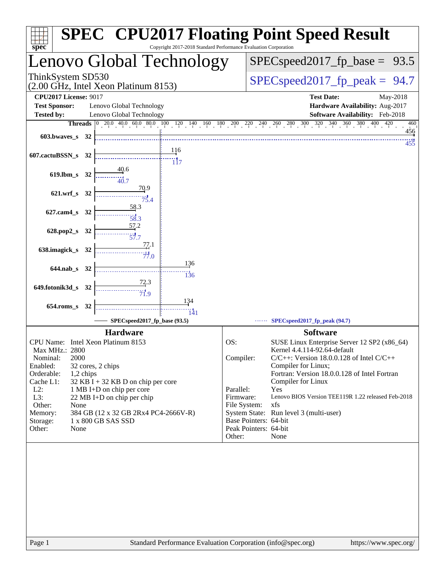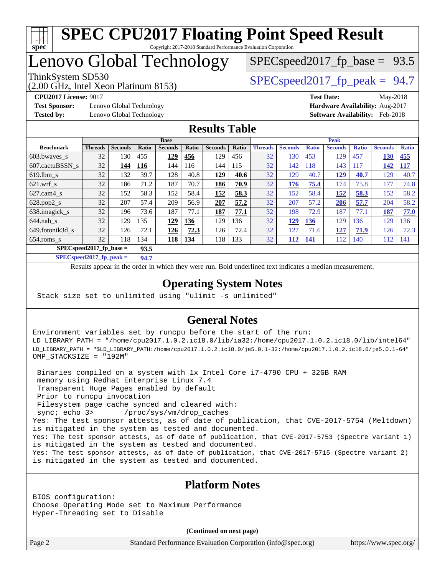

# **[SPEC CPU2017 Floating Point Speed Result](http://www.spec.org/auto/cpu2017/Docs/result-fields.html#SPECCPU2017FloatingPointSpeedResult)**

Copyright 2017-2018 Standard Performance Evaluation Corporation

# Lenovo Global Technology

(2.00 GHz, Intel Xeon Platinum 8153)

ThinkSystem SD530  $SPEC speed2017$  fp\_peak = 94.7

 $SPECspeed2017_fp\_base = 93.5$ 

**[Test Sponsor:](http://www.spec.org/auto/cpu2017/Docs/result-fields.html#TestSponsor)** Lenovo Global Technology **[Hardware Availability:](http://www.spec.org/auto/cpu2017/Docs/result-fields.html#HardwareAvailability)** Aug-2017 **[Tested by:](http://www.spec.org/auto/cpu2017/Docs/result-fields.html#Testedby)** Lenovo Global Technology **[Software Availability:](http://www.spec.org/auto/cpu2017/Docs/result-fields.html#SoftwareAvailability)** Feb-2018

**[CPU2017 License:](http://www.spec.org/auto/cpu2017/Docs/result-fields.html#CPU2017License)** 9017 **[Test Date:](http://www.spec.org/auto/cpu2017/Docs/result-fields.html#TestDate)** May-2018

#### **[Results Table](http://www.spec.org/auto/cpu2017/Docs/result-fields.html#ResultsTable)**

|                                   | <b>Base</b>    |                |              |                | <b>Peak</b>  |                |       |                |                |              |                |              |                |              |
|-----------------------------------|----------------|----------------|--------------|----------------|--------------|----------------|-------|----------------|----------------|--------------|----------------|--------------|----------------|--------------|
| <b>Benchmark</b>                  | <b>Threads</b> | <b>Seconds</b> | <b>Ratio</b> | <b>Seconds</b> | <b>Ratio</b> | <b>Seconds</b> | Ratio | <b>Threads</b> | <b>Seconds</b> | <b>Ratio</b> | <b>Seconds</b> | <b>Ratio</b> | <b>Seconds</b> | <b>Ratio</b> |
| 603.bwayes_s                      | 32             | 130            | 455          | 129            | 456          | 129            | 456   | 32             | 130            | 453          | 129            | 457          | 130            | 455          |
| 607.cactuBSSN s                   | 32             | 144            | <u>116</u>   | 144            | 116          | 144            | 115   | 32             | 142            | 118          | 143            | 117          | 142            | <b>117</b>   |
| $619.$ lbm s                      | 32             | 132            | 39.7         | 128            | 40.8         | 129            | 40.6  | 32             | 129            | 40.7         | <u>129</u>     | 40.7         | 129            | 40.7         |
| $621$ .wrf s                      | 32             | 186            | 71.2         | 187            | 70.7         | 186            | 70.9  | 32             | 176            | 75.4         | 174            | 75.8         | 177            | 74.8         |
| $627$ .cam4 s                     | 32             | 152            | 58.3         | 152            | 58.4         | 152            | 58.3  | 32             | 152            | 58.4         | <b>152</b>     | 58.3         | 152            | 58.2         |
| $628.pop2_s$                      | 32             | 207            | 57.4         | 209            | 56.9         | 207            | 57.2  | 32             | 207            | 57.2         | 206            | 57.7         | 204            | 58.2         |
| 638.imagick_s                     | 32             | 196            | 73.6         | 187            | 77.1         | 187            | 77.1  | 32             | 198            | 72.9         | 187            | 77.1         | 187            | 77.0         |
| $644$ .nab s                      | 32             | 129            | 135          | 129            | 136          | 129            | 136   | 32             | 129            | 136          | 129            | 136          | 129            | 136          |
| 649.fotonik3d s                   | 32             | 126            | 72.1         | 126            | 72.3         | 126            | 72.4  | 32             | 127            | 71.6         | 127            | 71.9         | 126            | 72.3         |
| $654$ .roms s                     | 32             | 118            | 134          | <u>118</u>     | 134          | 118            | 133   | 32             | 112            | 141          | 112            | 140          | 112            | 141          |
| $SPECspeed2017$ fp base =<br>93.5 |                |                |              |                |              |                |       |                |                |              |                |              |                |              |

**[SPECspeed2017\\_fp\\_peak =](http://www.spec.org/auto/cpu2017/Docs/result-fields.html#SPECspeed2017fppeak) 94.7**

Results appear in the [order in which they were run.](http://www.spec.org/auto/cpu2017/Docs/result-fields.html#RunOrder) Bold underlined text [indicates a median measurement](http://www.spec.org/auto/cpu2017/Docs/result-fields.html#Median).

### **[Operating System Notes](http://www.spec.org/auto/cpu2017/Docs/result-fields.html#OperatingSystemNotes)**

Stack size set to unlimited using "ulimit -s unlimited"

### **[General Notes](http://www.spec.org/auto/cpu2017/Docs/result-fields.html#GeneralNotes)**

Environment variables set by runcpu before the start of the run: LD\_LIBRARY\_PATH = "/home/cpu2017.1.0.2.ic18.0/lib/ia32:/home/cpu2017.1.0.2.ic18.0/lib/intel64" LD\_LIBRARY\_PATH = "\$LD\_LIBRARY\_PATH:/home/cpu2017.1.0.2.ic18.0/je5.0.1-32:/home/cpu2017.1.0.2.ic18.0/je5.0.1-64" OMP\_STACKSIZE = "192M"

 Binaries compiled on a system with 1x Intel Core i7-4790 CPU + 32GB RAM memory using Redhat Enterprise Linux 7.4 Transparent Huge Pages enabled by default Prior to runcpu invocation Filesystem page cache synced and cleared with: sync; echo 3> /proc/sys/vm/drop\_caches Yes: The test sponsor attests, as of date of publication, that CVE-2017-5754 (Meltdown) is mitigated in the system as tested and documented. Yes: The test sponsor attests, as of date of publication, that CVE-2017-5753 (Spectre variant 1) is mitigated in the system as tested and documented. Yes: The test sponsor attests, as of date of publication, that CVE-2017-5715 (Spectre variant 2) is mitigated in the system as tested and documented.

#### **[Platform Notes](http://www.spec.org/auto/cpu2017/Docs/result-fields.html#PlatformNotes)**

BIOS configuration: Choose Operating Mode set to Maximum Performance Hyper-Threading set to Disable

**(Continued on next page)**

Page 2 Standard Performance Evaluation Corporation [\(info@spec.org\)](mailto:info@spec.org) <https://www.spec.org/>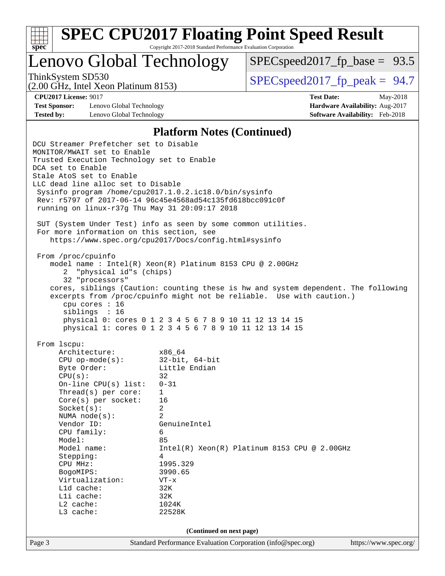

Lenovo Global Technology

 $SPECspeed2017_fp\_base = 93.5$ 

(2.00 GHz, Intel Xeon Platinum 8153)

ThinkSystem SD530  $SPEC speed2017$  fp\_peak = 94.7

**[Test Sponsor:](http://www.spec.org/auto/cpu2017/Docs/result-fields.html#TestSponsor)** Lenovo Global Technology **[Hardware Availability:](http://www.spec.org/auto/cpu2017/Docs/result-fields.html#HardwareAvailability)** Aug-2017 **[Tested by:](http://www.spec.org/auto/cpu2017/Docs/result-fields.html#Testedby)** Lenovo Global Technology **[Software Availability:](http://www.spec.org/auto/cpu2017/Docs/result-fields.html#SoftwareAvailability)** Feb-2018

**[CPU2017 License:](http://www.spec.org/auto/cpu2017/Docs/result-fields.html#CPU2017License)** 9017 **[Test Date:](http://www.spec.org/auto/cpu2017/Docs/result-fields.html#TestDate)** May-2018

#### **[Platform Notes \(Continued\)](http://www.spec.org/auto/cpu2017/Docs/result-fields.html#PlatformNotes)**

Page 3 Standard Performance Evaluation Corporation [\(info@spec.org\)](mailto:info@spec.org) <https://www.spec.org/> DCU Streamer Prefetcher set to Disable MONITOR/MWAIT set to Enable Trusted Execution Technology set to Enable DCA set to Enable Stale AtoS set to Enable LLC dead line alloc set to Disable Sysinfo program /home/cpu2017.1.0.2.ic18.0/bin/sysinfo Rev: r5797 of 2017-06-14 96c45e4568ad54c135fd618bcc091c0f running on linux-r37g Thu May 31 20:09:17 2018 SUT (System Under Test) info as seen by some common utilities. For more information on this section, see <https://www.spec.org/cpu2017/Docs/config.html#sysinfo> From /proc/cpuinfo model name : Intel(R) Xeon(R) Platinum 8153 CPU @ 2.00GHz 2 "physical id"s (chips) 32 "processors" cores, siblings (Caution: counting these is hw and system dependent. The following excerpts from /proc/cpuinfo might not be reliable. Use with caution.) cpu cores : 16 siblings : 16 physical 0: cores 0 1 2 3 4 5 6 7 8 9 10 11 12 13 14 15 physical 1: cores 0 1 2 3 4 5 6 7 8 9 10 11 12 13 14 15 From lscpu: Architecture: x86\_64 CPU op-mode(s): 32-bit, 64-bit Byte Order: Little Endian  $CPU(s):$  32 On-line CPU(s) list: 0-31 Thread(s) per core: 1 Core(s) per socket: 16 Socket(s): 2 NUMA node(s): 2 Vendor ID: GenuineIntel CPU family: 6 Model: 85 Model name: Intel(R) Xeon(R) Platinum 8153 CPU @ 2.00GHz Stepping: 4 CPU MHz: 1995.329 BogoMIPS: 3990.65 Virtualization: VT-x L1d cache: 32K<br>
L1i cache: 32K  $L1i$  cache: L2 cache: 1024K L3 cache: 22528K **(Continued on next page)**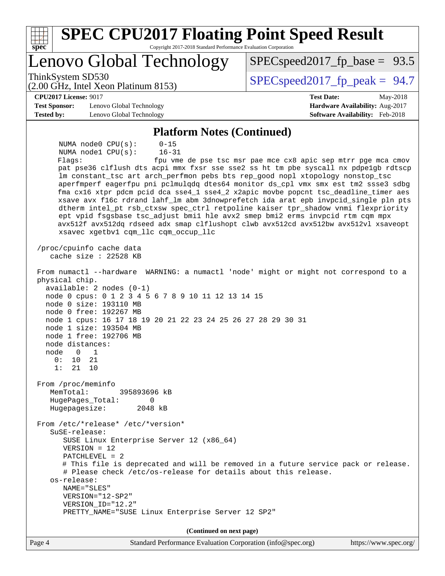| <b>SPEC CPU2017 Floating Point Speed Result</b><br>Spec<br>Copyright 2017-2018 Standard Performance Evaluation Corporation                                                                                                                                                                                                                                                                                                                                                                                                                                                                                                                                                                                                                                                                                                     |                                                                                                            |
|--------------------------------------------------------------------------------------------------------------------------------------------------------------------------------------------------------------------------------------------------------------------------------------------------------------------------------------------------------------------------------------------------------------------------------------------------------------------------------------------------------------------------------------------------------------------------------------------------------------------------------------------------------------------------------------------------------------------------------------------------------------------------------------------------------------------------------|------------------------------------------------------------------------------------------------------------|
| Lenovo Global Technology                                                                                                                                                                                                                                                                                                                                                                                                                                                                                                                                                                                                                                                                                                                                                                                                       | $SPEC speed2017_fp\_base = 93.5$                                                                           |
| ThinkSystem SD530<br>(2.00 GHz, Intel Xeon Platinum 8153)                                                                                                                                                                                                                                                                                                                                                                                                                                                                                                                                                                                                                                                                                                                                                                      | $SPEC speed2017_fp\_peak = 94.7$                                                                           |
| <b>CPU2017 License: 9017</b><br><b>Test Sponsor:</b><br>Lenovo Global Technology<br><b>Tested by:</b><br>Lenovo Global Technology                                                                                                                                                                                                                                                                                                                                                                                                                                                                                                                                                                                                                                                                                              | <b>Test Date:</b><br>May-2018<br>Hardware Availability: Aug-2017<br><b>Software Availability:</b> Feb-2018 |
| <b>Platform Notes (Continued)</b>                                                                                                                                                                                                                                                                                                                                                                                                                                                                                                                                                                                                                                                                                                                                                                                              |                                                                                                            |
| NUMA node0 CPU(s):<br>$0 - 15$<br>$16 - 31$<br>NUMA nodel CPU(s):<br>Flags:<br>pat pse36 clflush dts acpi mmx fxsr sse sse2 ss ht tm pbe syscall nx pdpelgb rdtscp<br>lm constant_tsc art arch_perfmon pebs bts rep_good nopl xtopology nonstop_tsc<br>aperfmperf eagerfpu pni pclmulqdq dtes64 monitor ds_cpl vmx smx est tm2 ssse3 sdbg<br>fma cx16 xtpr pdcm pcid dca sse4_1 sse4_2 x2apic movbe popcnt tsc_deadline_timer aes<br>xsave avx f16c rdrand lahf_lm abm 3dnowprefetch ida arat epb invpcid_single pln pts<br>dtherm intel_pt rsb_ctxsw spec_ctrl retpoline kaiser tpr_shadow vnmi flexpriority<br>ept vpid fsgsbase tsc_adjust bmil hle avx2 smep bmi2 erms invpcid rtm cqm mpx<br>avx512f avx512dq rdseed adx smap clflushopt clwb avx512cd avx512bw avx512vl xsaveopt<br>xsavec xgetbvl cqm_llc cqm_occup_llc | fpu vme de pse tsc msr pae mce cx8 apic sep mtrr pge mca cmov                                              |
| /proc/cpuinfo cache data<br>cache size : 22528 KB                                                                                                                                                                                                                                                                                                                                                                                                                                                                                                                                                                                                                                                                                                                                                                              |                                                                                                            |
| From numactl --hardware WARNING: a numactl 'node' might or might not correspond to a<br>physical chip.<br>$available: 2 nodes (0-1)$<br>node 0 cpus: 0 1 2 3 4 5 6 7 8 9 10 11 12 13 14 15<br>node 0 size: 193110 MB<br>node 0 free: 192267 MB<br>node 1 cpus: 16 17 18 19 20 21 22 23 24 25 26 27 28 29 30 31<br>node 1 size: 193504 MB<br>node 1 free: 192706 MB<br>node distances:<br>node<br>0<br>1<br>0:<br>21<br>$10^{-}$<br>1:<br>21<br>10                                                                                                                                                                                                                                                                                                                                                                              |                                                                                                            |
| From /proc/meminfo<br>MemTotal:<br>395893696 kB<br>HugePages_Total:<br>0<br>Hugepagesize:<br>2048 kB                                                                                                                                                                                                                                                                                                                                                                                                                                                                                                                                                                                                                                                                                                                           |                                                                                                            |
| From /etc/*release* /etc/*version*<br>SuSE-release:<br>SUSE Linux Enterprise Server 12 (x86_64)<br>$VERSION = 12$<br>$PATCHLEVEL = 2$<br># This file is deprecated and will be removed in a future service pack or release.<br># Please check /etc/os-release for details about this release.<br>os-release:<br>NAME="SLES"<br>VERSION="12-SP2"<br>VERSION_ID="12.2"<br>PRETTY_NAME="SUSE Linux Enterprise Server 12 SP2"                                                                                                                                                                                                                                                                                                                                                                                                      |                                                                                                            |
| (Continued on next page)                                                                                                                                                                                                                                                                                                                                                                                                                                                                                                                                                                                                                                                                                                                                                                                                       |                                                                                                            |
| Page 4<br>Standard Performance Evaluation Corporation (info@spec.org)                                                                                                                                                                                                                                                                                                                                                                                                                                                                                                                                                                                                                                                                                                                                                          | https://www.spec.org/                                                                                      |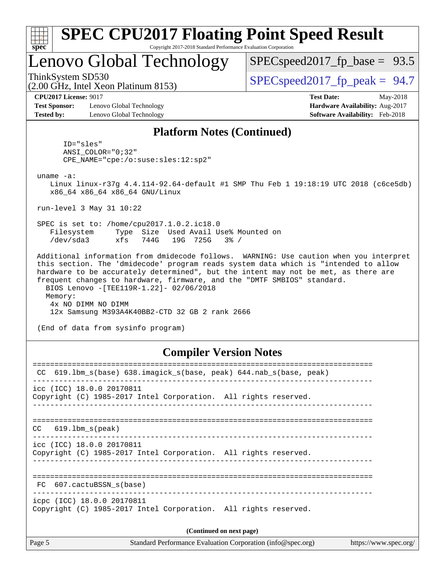| S)<br>Dе<br>I<br>Ľ |  |  |  |  |  |  |  |
|--------------------|--|--|--|--|--|--|--|

## Lenovo Global Technology

(2.00 GHz, Intel Xeon Platinum 8153)

 $SPECspeed2017_fp\_base = 93.5$ 

ThinkSystem SD530  $SPEC speed2017$  fp\_peak = 94.7

**[CPU2017 License:](http://www.spec.org/auto/cpu2017/Docs/result-fields.html#CPU2017License)** 9017 **[Test Date:](http://www.spec.org/auto/cpu2017/Docs/result-fields.html#TestDate)** May-2018

**[Test Sponsor:](http://www.spec.org/auto/cpu2017/Docs/result-fields.html#TestSponsor)** Lenovo Global Technology **[Hardware Availability:](http://www.spec.org/auto/cpu2017/Docs/result-fields.html#HardwareAvailability)** Aug-2017 **[Tested by:](http://www.spec.org/auto/cpu2017/Docs/result-fields.html#Testedby)** Lenovo Global Technology **[Software Availability:](http://www.spec.org/auto/cpu2017/Docs/result-fields.html#SoftwareAvailability)** Feb-2018

#### **[Platform Notes \(Continued\)](http://www.spec.org/auto/cpu2017/Docs/result-fields.html#PlatformNotes)**

 ID="sles" ANSI\_COLOR="0;32" CPE\_NAME="cpe:/o:suse:sles:12:sp2"

uname -a:

 Linux linux-r37g 4.4.114-92.64-default #1 SMP Thu Feb 1 19:18:19 UTC 2018 (c6ce5db) x86\_64 x86\_64 x86\_64 GNU/Linux

run-level 3 May 31 10:22

 SPEC is set to: /home/cpu2017.1.0.2.ic18.0 Filesystem Type Size Used Avail Use% Mounted on /dev/sda3 xfs 744G 19G 725G 3% /

 Additional information from dmidecode follows. WARNING: Use caution when you interpret this section. The 'dmidecode' program reads system data which is "intended to allow hardware to be accurately determined", but the intent may not be met, as there are frequent changes to hardware, firmware, and the "DMTF SMBIOS" standard. BIOS Lenovo -[TEE119R-1.22]- 02/06/2018 Memory: 4x NO DIMM NO DIMM 12x Samsung M393A4K40BB2-CTD 32 GB 2 rank 2666

(End of data from sysinfo program)

#### **[Compiler Version Notes](http://www.spec.org/auto/cpu2017/Docs/result-fields.html#CompilerVersionNotes)**

| 619.1bm s(base) 638.imagick s(base, peak) 644.nab s(base, peak)<br>CC                         |  |  |  |  |  |  |  |
|-----------------------------------------------------------------------------------------------|--|--|--|--|--|--|--|
| icc (ICC) 18.0.0 20170811<br>Copyright (C) 1985-2017 Intel Corporation. All rights reserved.  |  |  |  |  |  |  |  |
| $CC$ 619.1bm $s$ (peak)                                                                       |  |  |  |  |  |  |  |
| icc (ICC) 18.0.0 20170811<br>Copyright (C) 1985-2017 Intel Corporation. All rights reserved.  |  |  |  |  |  |  |  |
| FC 607.cactuBSSN s(base)                                                                      |  |  |  |  |  |  |  |
| icpc (ICC) 18.0.0 20170811<br>Copyright (C) 1985-2017 Intel Corporation. All rights reserved. |  |  |  |  |  |  |  |
| (Continued on next page)                                                                      |  |  |  |  |  |  |  |
|                                                                                               |  |  |  |  |  |  |  |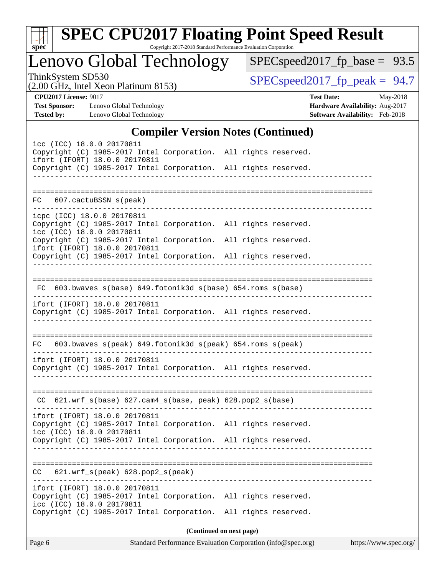| v.<br>ť |  |  |  |  |  |  |  |
|---------|--|--|--|--|--|--|--|

# **[SPEC CPU2017 Floating Point Speed Result](http://www.spec.org/auto/cpu2017/Docs/result-fields.html#SPECCPU2017FloatingPointSpeedResult)**

Copyright 2017-2018 Standard Performance Evaluation Corporation

Lenovo Global Technology

[SPECspeed2017\\_fp\\_base =](http://www.spec.org/auto/cpu2017/Docs/result-fields.html#SPECspeed2017fpbase) 93.5

(2.00 GHz, Intel Xeon Platinum 8153)

ThinkSystem SD530<br>  $(2.00 \text{ GHz. Intel } \text{Yeon Platinum } 8153)$  [SPECspeed2017\\_fp\\_peak =](http://www.spec.org/auto/cpu2017/Docs/result-fields.html#SPECspeed2017fppeak) 94.7

**[Test Sponsor:](http://www.spec.org/auto/cpu2017/Docs/result-fields.html#TestSponsor)** Lenovo Global Technology **[Hardware Availability:](http://www.spec.org/auto/cpu2017/Docs/result-fields.html#HardwareAvailability)** Aug-2017 **[Tested by:](http://www.spec.org/auto/cpu2017/Docs/result-fields.html#Testedby)** Lenovo Global Technology **[Software Availability:](http://www.spec.org/auto/cpu2017/Docs/result-fields.html#SoftwareAvailability)** Feb-2018

**[CPU2017 License:](http://www.spec.org/auto/cpu2017/Docs/result-fields.html#CPU2017License)** 9017 **[Test Date:](http://www.spec.org/auto/cpu2017/Docs/result-fields.html#TestDate)** May-2018

## **[Compiler Version Notes \(Continued\)](http://www.spec.org/auto/cpu2017/Docs/result-fields.html#CompilerVersionNotes)**

| icc (ICC) 18.0.0 20170811<br>Copyright (C) 1985-2017 Intel Corporation. All rights reserved.<br>ifort (IFORT) 18.0.0 20170811<br>Copyright (C) 1985-2017 Intel Corporation. All rights reserved. |                          |  |
|--------------------------------------------------------------------------------------------------------------------------------------------------------------------------------------------------|--------------------------|--|
| FC 607.cactuBSSN_s(peak)                                                                                                                                                                         |                          |  |
| icpc (ICC) 18.0.0 20170811<br>Copyright (C) 1985-2017 Intel Corporation. All rights reserved.<br>icc (ICC) 18.0.0 20170811                                                                       |                          |  |
| Copyright (C) 1985-2017 Intel Corporation. All rights reserved.<br>ifort (IFORT) 18.0.0 20170811                                                                                                 |                          |  |
| Copyright (C) 1985-2017 Intel Corporation. All rights reserved.                                                                                                                                  |                          |  |
|                                                                                                                                                                                                  |                          |  |
| FC 603.bwaves_s(base) 649.fotonik3d_s(base) 654.roms_s(base)                                                                                                                                     |                          |  |
| ifort (IFORT) 18.0.0 20170811<br>Copyright (C) 1985-2017 Intel Corporation. All rights reserved.                                                                                                 |                          |  |
| 603.bwaves_s(peak) 649.fotonik3d_s(peak) 654.roms_s(peak)<br>FC                                                                                                                                  |                          |  |
| ifort (IFORT) 18.0.0 20170811<br>Copyright (C) 1985-2017 Intel Corporation. All rights reserved.                                                                                                 |                          |  |
| $CC$ 621.wrf_s(base) 627.cam4_s(base, peak) 628.pop2_s(base)                                                                                                                                     |                          |  |
| ifort (IFORT) 18.0.0 20170811<br>Copyright (C) 1985-2017 Intel Corporation. All rights reserved.<br>icc (ICC) 18.0.0 20170811                                                                    |                          |  |
| Copyright (C) 1985-2017 Intel Corporation. All rights reserved.                                                                                                                                  |                          |  |
| 621.wrf_s(peak) 628.pop2_s(peak)<br>CC                                                                                                                                                           |                          |  |
| ifort (IFORT) 18.0.0 20170811<br>Copyright (C) 1985-2017 Intel Corporation. All rights reserved.<br>icc (ICC) 18.0.0 20170811<br>Copyright (C) 1985-2017 Intel Corporation. All rights reserved. |                          |  |
|                                                                                                                                                                                                  | (Continued on next page) |  |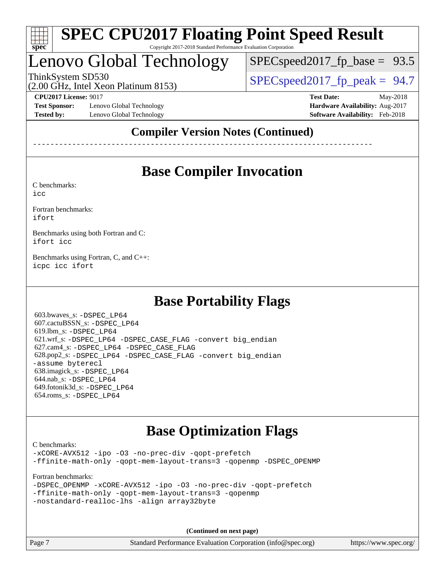

# Lenovo Global Technology

 $SPECspeed2017_fp\_base = 93.5$ 

(2.00 GHz, Intel Xeon Platinum 8153)

ThinkSystem SD530  $SPEC speed2017$  fp\_peak = 94.7

**[Test Sponsor:](http://www.spec.org/auto/cpu2017/Docs/result-fields.html#TestSponsor)** Lenovo Global Technology **[Hardware Availability:](http://www.spec.org/auto/cpu2017/Docs/result-fields.html#HardwareAvailability)** Aug-2017 **[Tested by:](http://www.spec.org/auto/cpu2017/Docs/result-fields.html#Testedby)** Lenovo Global Technology **[Software Availability:](http://www.spec.org/auto/cpu2017/Docs/result-fields.html#SoftwareAvailability)** Feb-2018

**[CPU2017 License:](http://www.spec.org/auto/cpu2017/Docs/result-fields.html#CPU2017License)** 9017 **[Test Date:](http://www.spec.org/auto/cpu2017/Docs/result-fields.html#TestDate)** May-2018

## **[Compiler Version Notes \(Continued\)](http://www.spec.org/auto/cpu2017/Docs/result-fields.html#CompilerVersionNotes)**

------------------------------------------------------------------------------

## **[Base Compiler Invocation](http://www.spec.org/auto/cpu2017/Docs/result-fields.html#BaseCompilerInvocation)**

[C benchmarks](http://www.spec.org/auto/cpu2017/Docs/result-fields.html#Cbenchmarks):

[icc](http://www.spec.org/cpu2017/results/res2018q2/cpu2017-20180612-07037.flags.html#user_CCbase_intel_icc_18.0_66fc1ee009f7361af1fbd72ca7dcefbb700085f36577c54f309893dd4ec40d12360134090235512931783d35fd58c0460139e722d5067c5574d8eaf2b3e37e92)

[Fortran benchmarks](http://www.spec.org/auto/cpu2017/Docs/result-fields.html#Fortranbenchmarks): [ifort](http://www.spec.org/cpu2017/results/res2018q2/cpu2017-20180612-07037.flags.html#user_FCbase_intel_ifort_18.0_8111460550e3ca792625aed983ce982f94888b8b503583aa7ba2b8303487b4d8a21a13e7191a45c5fd58ff318f48f9492884d4413fa793fd88dd292cad7027ca)

[Benchmarks using both Fortran and C](http://www.spec.org/auto/cpu2017/Docs/result-fields.html#BenchmarksusingbothFortranandC): [ifort](http://www.spec.org/cpu2017/results/res2018q2/cpu2017-20180612-07037.flags.html#user_CC_FCbase_intel_ifort_18.0_8111460550e3ca792625aed983ce982f94888b8b503583aa7ba2b8303487b4d8a21a13e7191a45c5fd58ff318f48f9492884d4413fa793fd88dd292cad7027ca) [icc](http://www.spec.org/cpu2017/results/res2018q2/cpu2017-20180612-07037.flags.html#user_CC_FCbase_intel_icc_18.0_66fc1ee009f7361af1fbd72ca7dcefbb700085f36577c54f309893dd4ec40d12360134090235512931783d35fd58c0460139e722d5067c5574d8eaf2b3e37e92)

[Benchmarks using Fortran, C, and C++:](http://www.spec.org/auto/cpu2017/Docs/result-fields.html#BenchmarksusingFortranCandCXX) [icpc](http://www.spec.org/cpu2017/results/res2018q2/cpu2017-20180612-07037.flags.html#user_CC_CXX_FCbase_intel_icpc_18.0_c510b6838c7f56d33e37e94d029a35b4a7bccf4766a728ee175e80a419847e808290a9b78be685c44ab727ea267ec2f070ec5dc83b407c0218cded6866a35d07) [icc](http://www.spec.org/cpu2017/results/res2018q2/cpu2017-20180612-07037.flags.html#user_CC_CXX_FCbase_intel_icc_18.0_66fc1ee009f7361af1fbd72ca7dcefbb700085f36577c54f309893dd4ec40d12360134090235512931783d35fd58c0460139e722d5067c5574d8eaf2b3e37e92) [ifort](http://www.spec.org/cpu2017/results/res2018q2/cpu2017-20180612-07037.flags.html#user_CC_CXX_FCbase_intel_ifort_18.0_8111460550e3ca792625aed983ce982f94888b8b503583aa7ba2b8303487b4d8a21a13e7191a45c5fd58ff318f48f9492884d4413fa793fd88dd292cad7027ca)

## **[Base Portability Flags](http://www.spec.org/auto/cpu2017/Docs/result-fields.html#BasePortabilityFlags)**

 603.bwaves\_s: [-DSPEC\\_LP64](http://www.spec.org/cpu2017/results/res2018q2/cpu2017-20180612-07037.flags.html#suite_basePORTABILITY603_bwaves_s_DSPEC_LP64) 607.cactuBSSN\_s: [-DSPEC\\_LP64](http://www.spec.org/cpu2017/results/res2018q2/cpu2017-20180612-07037.flags.html#suite_basePORTABILITY607_cactuBSSN_s_DSPEC_LP64) 619.lbm\_s: [-DSPEC\\_LP64](http://www.spec.org/cpu2017/results/res2018q2/cpu2017-20180612-07037.flags.html#suite_basePORTABILITY619_lbm_s_DSPEC_LP64) 621.wrf\_s: [-DSPEC\\_LP64](http://www.spec.org/cpu2017/results/res2018q2/cpu2017-20180612-07037.flags.html#suite_basePORTABILITY621_wrf_s_DSPEC_LP64) [-DSPEC\\_CASE\\_FLAG](http://www.spec.org/cpu2017/results/res2018q2/cpu2017-20180612-07037.flags.html#b621.wrf_s_baseCPORTABILITY_DSPEC_CASE_FLAG) [-convert big\\_endian](http://www.spec.org/cpu2017/results/res2018q2/cpu2017-20180612-07037.flags.html#user_baseFPORTABILITY621_wrf_s_convert_big_endian_c3194028bc08c63ac5d04de18c48ce6d347e4e562e8892b8bdbdc0214820426deb8554edfa529a3fb25a586e65a3d812c835984020483e7e73212c4d31a38223) 627.cam4\_s: [-DSPEC\\_LP64](http://www.spec.org/cpu2017/results/res2018q2/cpu2017-20180612-07037.flags.html#suite_basePORTABILITY627_cam4_s_DSPEC_LP64) [-DSPEC\\_CASE\\_FLAG](http://www.spec.org/cpu2017/results/res2018q2/cpu2017-20180612-07037.flags.html#b627.cam4_s_baseCPORTABILITY_DSPEC_CASE_FLAG) 628.pop2\_s: [-DSPEC\\_LP64](http://www.spec.org/cpu2017/results/res2018q2/cpu2017-20180612-07037.flags.html#suite_basePORTABILITY628_pop2_s_DSPEC_LP64) [-DSPEC\\_CASE\\_FLAG](http://www.spec.org/cpu2017/results/res2018q2/cpu2017-20180612-07037.flags.html#b628.pop2_s_baseCPORTABILITY_DSPEC_CASE_FLAG) [-convert big\\_endian](http://www.spec.org/cpu2017/results/res2018q2/cpu2017-20180612-07037.flags.html#user_baseFPORTABILITY628_pop2_s_convert_big_endian_c3194028bc08c63ac5d04de18c48ce6d347e4e562e8892b8bdbdc0214820426deb8554edfa529a3fb25a586e65a3d812c835984020483e7e73212c4d31a38223) [-assume byterecl](http://www.spec.org/cpu2017/results/res2018q2/cpu2017-20180612-07037.flags.html#user_baseFPORTABILITY628_pop2_s_assume_byterecl_7e47d18b9513cf18525430bbf0f2177aa9bf368bc7a059c09b2c06a34b53bd3447c950d3f8d6c70e3faf3a05c8557d66a5798b567902e8849adc142926523472) 638.imagick\_s: [-DSPEC\\_LP64](http://www.spec.org/cpu2017/results/res2018q2/cpu2017-20180612-07037.flags.html#suite_basePORTABILITY638_imagick_s_DSPEC_LP64) 644.nab\_s: [-DSPEC\\_LP64](http://www.spec.org/cpu2017/results/res2018q2/cpu2017-20180612-07037.flags.html#suite_basePORTABILITY644_nab_s_DSPEC_LP64) 649.fotonik3d\_s: [-DSPEC\\_LP64](http://www.spec.org/cpu2017/results/res2018q2/cpu2017-20180612-07037.flags.html#suite_basePORTABILITY649_fotonik3d_s_DSPEC_LP64) 654.roms\_s: [-DSPEC\\_LP64](http://www.spec.org/cpu2017/results/res2018q2/cpu2017-20180612-07037.flags.html#suite_basePORTABILITY654_roms_s_DSPEC_LP64)

## **[Base Optimization Flags](http://www.spec.org/auto/cpu2017/Docs/result-fields.html#BaseOptimizationFlags)**

[C benchmarks](http://www.spec.org/auto/cpu2017/Docs/result-fields.html#Cbenchmarks): [-xCORE-AVX512](http://www.spec.org/cpu2017/results/res2018q2/cpu2017-20180612-07037.flags.html#user_CCbase_f-xCORE-AVX512) [-ipo](http://www.spec.org/cpu2017/results/res2018q2/cpu2017-20180612-07037.flags.html#user_CCbase_f-ipo) [-O3](http://www.spec.org/cpu2017/results/res2018q2/cpu2017-20180612-07037.flags.html#user_CCbase_f-O3) [-no-prec-div](http://www.spec.org/cpu2017/results/res2018q2/cpu2017-20180612-07037.flags.html#user_CCbase_f-no-prec-div) [-qopt-prefetch](http://www.spec.org/cpu2017/results/res2018q2/cpu2017-20180612-07037.flags.html#user_CCbase_f-qopt-prefetch) [-ffinite-math-only](http://www.spec.org/cpu2017/results/res2018q2/cpu2017-20180612-07037.flags.html#user_CCbase_f_finite_math_only_cb91587bd2077682c4b38af759c288ed7c732db004271a9512da14a4f8007909a5f1427ecbf1a0fb78ff2a814402c6114ac565ca162485bbcae155b5e4258871) [-qopt-mem-layout-trans=3](http://www.spec.org/cpu2017/results/res2018q2/cpu2017-20180612-07037.flags.html#user_CCbase_f-qopt-mem-layout-trans_de80db37974c74b1f0e20d883f0b675c88c3b01e9d123adea9b28688d64333345fb62bc4a798493513fdb68f60282f9a726aa07f478b2f7113531aecce732043) [-qopenmp](http://www.spec.org/cpu2017/results/res2018q2/cpu2017-20180612-07037.flags.html#user_CCbase_qopenmp_16be0c44f24f464004c6784a7acb94aca937f053568ce72f94b139a11c7c168634a55f6653758ddd83bcf7b8463e8028bb0b48b77bcddc6b78d5d95bb1df2967) [-DSPEC\\_OPENMP](http://www.spec.org/cpu2017/results/res2018q2/cpu2017-20180612-07037.flags.html#suite_CCbase_DSPEC_OPENMP)

[Fortran benchmarks](http://www.spec.org/auto/cpu2017/Docs/result-fields.html#Fortranbenchmarks):

|  | -DSPEC OPENMP -xCORE-AVX512 -ipo -03 -no-prec-div -gopt-prefetch |  |  |  |
|--|------------------------------------------------------------------|--|--|--|
|  | -ffinite-math-only -qopt-mem-layout-trans=3 -qopenmp             |  |  |  |
|  | -nostandard-realloc-lhs -align array32byte                       |  |  |  |

**(Continued on next page)**

Page 7 Standard Performance Evaluation Corporation [\(info@spec.org\)](mailto:info@spec.org) <https://www.spec.org/>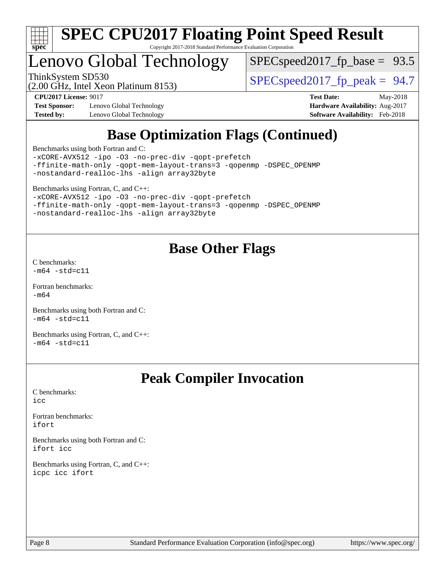

## Lenovo Global Technology

 $SPECspeed2017_fp\_base = 93.5$ 

(2.00 GHz, Intel Xeon Platinum 8153)

ThinkSystem SD530<br>(2.00 GHz, Intel Year Platinum 8153) [SPECspeed2017\\_fp\\_peak =](http://www.spec.org/auto/cpu2017/Docs/result-fields.html#SPECspeed2017fppeak) 94.7

**[Test Sponsor:](http://www.spec.org/auto/cpu2017/Docs/result-fields.html#TestSponsor)** Lenovo Global Technology **[Hardware Availability:](http://www.spec.org/auto/cpu2017/Docs/result-fields.html#HardwareAvailability)** Aug-2017 **[Tested by:](http://www.spec.org/auto/cpu2017/Docs/result-fields.html#Testedby)** Lenovo Global Technology **[Software Availability:](http://www.spec.org/auto/cpu2017/Docs/result-fields.html#SoftwareAvailability)** Feb-2018

**[CPU2017 License:](http://www.spec.org/auto/cpu2017/Docs/result-fields.html#CPU2017License)** 9017 **[Test Date:](http://www.spec.org/auto/cpu2017/Docs/result-fields.html#TestDate)** May-2018

## **[Base Optimization Flags \(Continued\)](http://www.spec.org/auto/cpu2017/Docs/result-fields.html#BaseOptimizationFlags)**

[Benchmarks using both Fortran and C](http://www.spec.org/auto/cpu2017/Docs/result-fields.html#BenchmarksusingbothFortranandC):

[-xCORE-AVX512](http://www.spec.org/cpu2017/results/res2018q2/cpu2017-20180612-07037.flags.html#user_CC_FCbase_f-xCORE-AVX512) [-ipo](http://www.spec.org/cpu2017/results/res2018q2/cpu2017-20180612-07037.flags.html#user_CC_FCbase_f-ipo) [-O3](http://www.spec.org/cpu2017/results/res2018q2/cpu2017-20180612-07037.flags.html#user_CC_FCbase_f-O3) [-no-prec-div](http://www.spec.org/cpu2017/results/res2018q2/cpu2017-20180612-07037.flags.html#user_CC_FCbase_f-no-prec-div) [-qopt-prefetch](http://www.spec.org/cpu2017/results/res2018q2/cpu2017-20180612-07037.flags.html#user_CC_FCbase_f-qopt-prefetch) [-ffinite-math-only](http://www.spec.org/cpu2017/results/res2018q2/cpu2017-20180612-07037.flags.html#user_CC_FCbase_f_finite_math_only_cb91587bd2077682c4b38af759c288ed7c732db004271a9512da14a4f8007909a5f1427ecbf1a0fb78ff2a814402c6114ac565ca162485bbcae155b5e4258871) [-qopt-mem-layout-trans=3](http://www.spec.org/cpu2017/results/res2018q2/cpu2017-20180612-07037.flags.html#user_CC_FCbase_f-qopt-mem-layout-trans_de80db37974c74b1f0e20d883f0b675c88c3b01e9d123adea9b28688d64333345fb62bc4a798493513fdb68f60282f9a726aa07f478b2f7113531aecce732043) [-qopenmp](http://www.spec.org/cpu2017/results/res2018q2/cpu2017-20180612-07037.flags.html#user_CC_FCbase_qopenmp_16be0c44f24f464004c6784a7acb94aca937f053568ce72f94b139a11c7c168634a55f6653758ddd83bcf7b8463e8028bb0b48b77bcddc6b78d5d95bb1df2967) [-DSPEC\\_OPENMP](http://www.spec.org/cpu2017/results/res2018q2/cpu2017-20180612-07037.flags.html#suite_CC_FCbase_DSPEC_OPENMP) [-nostandard-realloc-lhs](http://www.spec.org/cpu2017/results/res2018q2/cpu2017-20180612-07037.flags.html#user_CC_FCbase_f_2003_std_realloc_82b4557e90729c0f113870c07e44d33d6f5a304b4f63d4c15d2d0f1fab99f5daaed73bdb9275d9ae411527f28b936061aa8b9c8f2d63842963b95c9dd6426b8a) [-align array32byte](http://www.spec.org/cpu2017/results/res2018q2/cpu2017-20180612-07037.flags.html#user_CC_FCbase_align_array32byte_b982fe038af199962ba9a80c053b8342c548c85b40b8e86eb3cc33dee0d7986a4af373ac2d51c3f7cf710a18d62fdce2948f201cd044323541f22fc0fffc51b6)

[Benchmarks using Fortran, C, and C++:](http://www.spec.org/auto/cpu2017/Docs/result-fields.html#BenchmarksusingFortranCandCXX)

[-xCORE-AVX512](http://www.spec.org/cpu2017/results/res2018q2/cpu2017-20180612-07037.flags.html#user_CC_CXX_FCbase_f-xCORE-AVX512) [-ipo](http://www.spec.org/cpu2017/results/res2018q2/cpu2017-20180612-07037.flags.html#user_CC_CXX_FCbase_f-ipo) [-O3](http://www.spec.org/cpu2017/results/res2018q2/cpu2017-20180612-07037.flags.html#user_CC_CXX_FCbase_f-O3) [-no-prec-div](http://www.spec.org/cpu2017/results/res2018q2/cpu2017-20180612-07037.flags.html#user_CC_CXX_FCbase_f-no-prec-div) [-qopt-prefetch](http://www.spec.org/cpu2017/results/res2018q2/cpu2017-20180612-07037.flags.html#user_CC_CXX_FCbase_f-qopt-prefetch) [-ffinite-math-only](http://www.spec.org/cpu2017/results/res2018q2/cpu2017-20180612-07037.flags.html#user_CC_CXX_FCbase_f_finite_math_only_cb91587bd2077682c4b38af759c288ed7c732db004271a9512da14a4f8007909a5f1427ecbf1a0fb78ff2a814402c6114ac565ca162485bbcae155b5e4258871) [-qopt-mem-layout-trans=3](http://www.spec.org/cpu2017/results/res2018q2/cpu2017-20180612-07037.flags.html#user_CC_CXX_FCbase_f-qopt-mem-layout-trans_de80db37974c74b1f0e20d883f0b675c88c3b01e9d123adea9b28688d64333345fb62bc4a798493513fdb68f60282f9a726aa07f478b2f7113531aecce732043) [-qopenmp](http://www.spec.org/cpu2017/results/res2018q2/cpu2017-20180612-07037.flags.html#user_CC_CXX_FCbase_qopenmp_16be0c44f24f464004c6784a7acb94aca937f053568ce72f94b139a11c7c168634a55f6653758ddd83bcf7b8463e8028bb0b48b77bcddc6b78d5d95bb1df2967) [-DSPEC\\_OPENMP](http://www.spec.org/cpu2017/results/res2018q2/cpu2017-20180612-07037.flags.html#suite_CC_CXX_FCbase_DSPEC_OPENMP) [-nostandard-realloc-lhs](http://www.spec.org/cpu2017/results/res2018q2/cpu2017-20180612-07037.flags.html#user_CC_CXX_FCbase_f_2003_std_realloc_82b4557e90729c0f113870c07e44d33d6f5a304b4f63d4c15d2d0f1fab99f5daaed73bdb9275d9ae411527f28b936061aa8b9c8f2d63842963b95c9dd6426b8a) [-align array32byte](http://www.spec.org/cpu2017/results/res2018q2/cpu2017-20180612-07037.flags.html#user_CC_CXX_FCbase_align_array32byte_b982fe038af199962ba9a80c053b8342c548c85b40b8e86eb3cc33dee0d7986a4af373ac2d51c3f7cf710a18d62fdce2948f201cd044323541f22fc0fffc51b6)

## **[Base Other Flags](http://www.spec.org/auto/cpu2017/Docs/result-fields.html#BaseOtherFlags)**

[C benchmarks](http://www.spec.org/auto/cpu2017/Docs/result-fields.html#Cbenchmarks):  $-m64 - std= c11$  $-m64 - std= c11$ 

[Fortran benchmarks](http://www.spec.org/auto/cpu2017/Docs/result-fields.html#Fortranbenchmarks): [-m64](http://www.spec.org/cpu2017/results/res2018q2/cpu2017-20180612-07037.flags.html#user_FCbase_intel_intel64_18.0_af43caccfc8ded86e7699f2159af6efc7655f51387b94da716254467f3c01020a5059329e2569e4053f409e7c9202a7efc638f7a6d1ffb3f52dea4a3e31d82ab)

[Benchmarks using both Fortran and C](http://www.spec.org/auto/cpu2017/Docs/result-fields.html#BenchmarksusingbothFortranandC):  $-m64 - std= c11$  $-m64 - std= c11$ 

[Benchmarks using Fortran, C, and C++:](http://www.spec.org/auto/cpu2017/Docs/result-fields.html#BenchmarksusingFortranCandCXX)  $-m64 - std= c11$  $-m64 - std= c11$ 

## **[Peak Compiler Invocation](http://www.spec.org/auto/cpu2017/Docs/result-fields.html#PeakCompilerInvocation)**

[C benchmarks](http://www.spec.org/auto/cpu2017/Docs/result-fields.html#Cbenchmarks): [icc](http://www.spec.org/cpu2017/results/res2018q2/cpu2017-20180612-07037.flags.html#user_CCpeak_intel_icc_18.0_66fc1ee009f7361af1fbd72ca7dcefbb700085f36577c54f309893dd4ec40d12360134090235512931783d35fd58c0460139e722d5067c5574d8eaf2b3e37e92)

[Fortran benchmarks](http://www.spec.org/auto/cpu2017/Docs/result-fields.html#Fortranbenchmarks): [ifort](http://www.spec.org/cpu2017/results/res2018q2/cpu2017-20180612-07037.flags.html#user_FCpeak_intel_ifort_18.0_8111460550e3ca792625aed983ce982f94888b8b503583aa7ba2b8303487b4d8a21a13e7191a45c5fd58ff318f48f9492884d4413fa793fd88dd292cad7027ca)

[Benchmarks using both Fortran and C](http://www.spec.org/auto/cpu2017/Docs/result-fields.html#BenchmarksusingbothFortranandC): [ifort](http://www.spec.org/cpu2017/results/res2018q2/cpu2017-20180612-07037.flags.html#user_CC_FCpeak_intel_ifort_18.0_8111460550e3ca792625aed983ce982f94888b8b503583aa7ba2b8303487b4d8a21a13e7191a45c5fd58ff318f48f9492884d4413fa793fd88dd292cad7027ca) [icc](http://www.spec.org/cpu2017/results/res2018q2/cpu2017-20180612-07037.flags.html#user_CC_FCpeak_intel_icc_18.0_66fc1ee009f7361af1fbd72ca7dcefbb700085f36577c54f309893dd4ec40d12360134090235512931783d35fd58c0460139e722d5067c5574d8eaf2b3e37e92)

[Benchmarks using Fortran, C, and C++:](http://www.spec.org/auto/cpu2017/Docs/result-fields.html#BenchmarksusingFortranCandCXX) [icpc](http://www.spec.org/cpu2017/results/res2018q2/cpu2017-20180612-07037.flags.html#user_CC_CXX_FCpeak_intel_icpc_18.0_c510b6838c7f56d33e37e94d029a35b4a7bccf4766a728ee175e80a419847e808290a9b78be685c44ab727ea267ec2f070ec5dc83b407c0218cded6866a35d07) [icc](http://www.spec.org/cpu2017/results/res2018q2/cpu2017-20180612-07037.flags.html#user_CC_CXX_FCpeak_intel_icc_18.0_66fc1ee009f7361af1fbd72ca7dcefbb700085f36577c54f309893dd4ec40d12360134090235512931783d35fd58c0460139e722d5067c5574d8eaf2b3e37e92) [ifort](http://www.spec.org/cpu2017/results/res2018q2/cpu2017-20180612-07037.flags.html#user_CC_CXX_FCpeak_intel_ifort_18.0_8111460550e3ca792625aed983ce982f94888b8b503583aa7ba2b8303487b4d8a21a13e7191a45c5fd58ff318f48f9492884d4413fa793fd88dd292cad7027ca)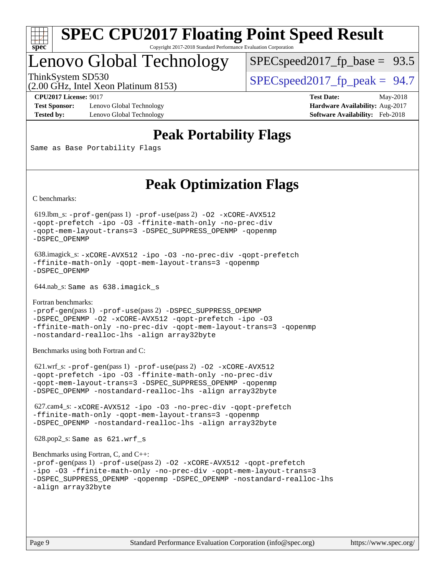

## Lenovo Global Technology

ThinkSystem SD530  $SPEC speed2017$  fp\_peak = 94.7  $SPECspeed2017_fp\_base = 93.5$ 

(2.00 GHz, Intel Xeon Platinum 8153)

**[Test Sponsor:](http://www.spec.org/auto/cpu2017/Docs/result-fields.html#TestSponsor)** Lenovo Global Technology **[Hardware Availability:](http://www.spec.org/auto/cpu2017/Docs/result-fields.html#HardwareAvailability)** Aug-2017 **[Tested by:](http://www.spec.org/auto/cpu2017/Docs/result-fields.html#Testedby)** Lenovo Global Technology **[Software Availability:](http://www.spec.org/auto/cpu2017/Docs/result-fields.html#SoftwareAvailability)** Feb-2018

**[CPU2017 License:](http://www.spec.org/auto/cpu2017/Docs/result-fields.html#CPU2017License)** 9017 **[Test Date:](http://www.spec.org/auto/cpu2017/Docs/result-fields.html#TestDate)** May-2018

## **[Peak Portability Flags](http://www.spec.org/auto/cpu2017/Docs/result-fields.html#PeakPortabilityFlags)**

Same as Base Portability Flags

## **[Peak Optimization Flags](http://www.spec.org/auto/cpu2017/Docs/result-fields.html#PeakOptimizationFlags)**

[C benchmarks](http://www.spec.org/auto/cpu2017/Docs/result-fields.html#Cbenchmarks):

 619.lbm\_s: [-prof-gen](http://www.spec.org/cpu2017/results/res2018q2/cpu2017-20180612-07037.flags.html#user_peakPASS1_CFLAGSPASS1_LDFLAGS619_lbm_s_prof_gen_5aa4926d6013ddb2a31985c654b3eb18169fc0c6952a63635c234f711e6e63dd76e94ad52365559451ec499a2cdb89e4dc58ba4c67ef54ca681ffbe1461d6b36)(pass 1) [-prof-use](http://www.spec.org/cpu2017/results/res2018q2/cpu2017-20180612-07037.flags.html#user_peakPASS2_CFLAGSPASS2_LDFLAGS619_lbm_s_prof_use_1a21ceae95f36a2b53c25747139a6c16ca95bd9def2a207b4f0849963b97e94f5260e30a0c64f4bb623698870e679ca08317ef8150905d41bd88c6f78df73f19)(pass 2) [-O2](http://www.spec.org/cpu2017/results/res2018q2/cpu2017-20180612-07037.flags.html#user_peakPASS1_COPTIMIZE619_lbm_s_f-O2) [-xCORE-AVX512](http://www.spec.org/cpu2017/results/res2018q2/cpu2017-20180612-07037.flags.html#user_peakPASS2_COPTIMIZE619_lbm_s_f-xCORE-AVX512) [-qopt-prefetch](http://www.spec.org/cpu2017/results/res2018q2/cpu2017-20180612-07037.flags.html#user_peakPASS1_COPTIMIZEPASS2_COPTIMIZE619_lbm_s_f-qopt-prefetch) [-ipo](http://www.spec.org/cpu2017/results/res2018q2/cpu2017-20180612-07037.flags.html#user_peakPASS2_COPTIMIZE619_lbm_s_f-ipo) [-O3](http://www.spec.org/cpu2017/results/res2018q2/cpu2017-20180612-07037.flags.html#user_peakPASS2_COPTIMIZE619_lbm_s_f-O3) [-ffinite-math-only](http://www.spec.org/cpu2017/results/res2018q2/cpu2017-20180612-07037.flags.html#user_peakPASS1_COPTIMIZEPASS2_COPTIMIZE619_lbm_s_f_finite_math_only_cb91587bd2077682c4b38af759c288ed7c732db004271a9512da14a4f8007909a5f1427ecbf1a0fb78ff2a814402c6114ac565ca162485bbcae155b5e4258871) [-no-prec-div](http://www.spec.org/cpu2017/results/res2018q2/cpu2017-20180612-07037.flags.html#user_peakPASS2_COPTIMIZE619_lbm_s_f-no-prec-div) [-qopt-mem-layout-trans=3](http://www.spec.org/cpu2017/results/res2018q2/cpu2017-20180612-07037.flags.html#user_peakPASS1_COPTIMIZEPASS2_COPTIMIZE619_lbm_s_f-qopt-mem-layout-trans_de80db37974c74b1f0e20d883f0b675c88c3b01e9d123adea9b28688d64333345fb62bc4a798493513fdb68f60282f9a726aa07f478b2f7113531aecce732043) [-DSPEC\\_SUPPRESS\\_OPENMP](http://www.spec.org/cpu2017/results/res2018q2/cpu2017-20180612-07037.flags.html#suite_peakPASS1_COPTIMIZE619_lbm_s_DSPEC_SUPPRESS_OPENMP) [-qopenmp](http://www.spec.org/cpu2017/results/res2018q2/cpu2017-20180612-07037.flags.html#user_peakPASS2_COPTIMIZE619_lbm_s_qopenmp_16be0c44f24f464004c6784a7acb94aca937f053568ce72f94b139a11c7c168634a55f6653758ddd83bcf7b8463e8028bb0b48b77bcddc6b78d5d95bb1df2967) [-DSPEC\\_OPENMP](http://www.spec.org/cpu2017/results/res2018q2/cpu2017-20180612-07037.flags.html#suite_peakPASS2_COPTIMIZE619_lbm_s_DSPEC_OPENMP)

 638.imagick\_s: [-xCORE-AVX512](http://www.spec.org/cpu2017/results/res2018q2/cpu2017-20180612-07037.flags.html#user_peakCOPTIMIZE638_imagick_s_f-xCORE-AVX512) [-ipo](http://www.spec.org/cpu2017/results/res2018q2/cpu2017-20180612-07037.flags.html#user_peakCOPTIMIZE638_imagick_s_f-ipo) [-O3](http://www.spec.org/cpu2017/results/res2018q2/cpu2017-20180612-07037.flags.html#user_peakCOPTIMIZE638_imagick_s_f-O3) [-no-prec-div](http://www.spec.org/cpu2017/results/res2018q2/cpu2017-20180612-07037.flags.html#user_peakCOPTIMIZE638_imagick_s_f-no-prec-div) [-qopt-prefetch](http://www.spec.org/cpu2017/results/res2018q2/cpu2017-20180612-07037.flags.html#user_peakCOPTIMIZE638_imagick_s_f-qopt-prefetch) [-ffinite-math-only](http://www.spec.org/cpu2017/results/res2018q2/cpu2017-20180612-07037.flags.html#user_peakCOPTIMIZE638_imagick_s_f_finite_math_only_cb91587bd2077682c4b38af759c288ed7c732db004271a9512da14a4f8007909a5f1427ecbf1a0fb78ff2a814402c6114ac565ca162485bbcae155b5e4258871) [-qopt-mem-layout-trans=3](http://www.spec.org/cpu2017/results/res2018q2/cpu2017-20180612-07037.flags.html#user_peakCOPTIMIZE638_imagick_s_f-qopt-mem-layout-trans_de80db37974c74b1f0e20d883f0b675c88c3b01e9d123adea9b28688d64333345fb62bc4a798493513fdb68f60282f9a726aa07f478b2f7113531aecce732043) [-qopenmp](http://www.spec.org/cpu2017/results/res2018q2/cpu2017-20180612-07037.flags.html#user_peakCOPTIMIZE638_imagick_s_qopenmp_16be0c44f24f464004c6784a7acb94aca937f053568ce72f94b139a11c7c168634a55f6653758ddd83bcf7b8463e8028bb0b48b77bcddc6b78d5d95bb1df2967) [-DSPEC\\_OPENMP](http://www.spec.org/cpu2017/results/res2018q2/cpu2017-20180612-07037.flags.html#suite_peakCOPTIMIZE638_imagick_s_DSPEC_OPENMP)

644.nab\_s: Same as 638.imagick\_s

[Fortran benchmarks](http://www.spec.org/auto/cpu2017/Docs/result-fields.html#Fortranbenchmarks): [-prof-gen](http://www.spec.org/cpu2017/results/res2018q2/cpu2017-20180612-07037.flags.html#user_FCpeak_prof_gen_5aa4926d6013ddb2a31985c654b3eb18169fc0c6952a63635c234f711e6e63dd76e94ad52365559451ec499a2cdb89e4dc58ba4c67ef54ca681ffbe1461d6b36)(pass 1) [-prof-use](http://www.spec.org/cpu2017/results/res2018q2/cpu2017-20180612-07037.flags.html#user_FCpeak_prof_use_1a21ceae95f36a2b53c25747139a6c16ca95bd9def2a207b4f0849963b97e94f5260e30a0c64f4bb623698870e679ca08317ef8150905d41bd88c6f78df73f19)(pass 2) [-DSPEC\\_SUPPRESS\\_OPENMP](http://www.spec.org/cpu2017/results/res2018q2/cpu2017-20180612-07037.flags.html#suite_FCpeak_DSPEC_SUPPRESS_OPENMP) [-DSPEC\\_OPENMP](http://www.spec.org/cpu2017/results/res2018q2/cpu2017-20180612-07037.flags.html#suite_FCpeak_DSPEC_OPENMP) [-O2](http://www.spec.org/cpu2017/results/res2018q2/cpu2017-20180612-07037.flags.html#user_FCpeak_f-O2) [-xCORE-AVX512](http://www.spec.org/cpu2017/results/res2018q2/cpu2017-20180612-07037.flags.html#user_FCpeak_f-xCORE-AVX512) [-qopt-prefetch](http://www.spec.org/cpu2017/results/res2018q2/cpu2017-20180612-07037.flags.html#user_FCpeak_f-qopt-prefetch) [-ipo](http://www.spec.org/cpu2017/results/res2018q2/cpu2017-20180612-07037.flags.html#user_FCpeak_f-ipo) [-O3](http://www.spec.org/cpu2017/results/res2018q2/cpu2017-20180612-07037.flags.html#user_FCpeak_f-O3) [-ffinite-math-only](http://www.spec.org/cpu2017/results/res2018q2/cpu2017-20180612-07037.flags.html#user_FCpeak_f_finite_math_only_cb91587bd2077682c4b38af759c288ed7c732db004271a9512da14a4f8007909a5f1427ecbf1a0fb78ff2a814402c6114ac565ca162485bbcae155b5e4258871) [-no-prec-div](http://www.spec.org/cpu2017/results/res2018q2/cpu2017-20180612-07037.flags.html#user_FCpeak_f-no-prec-div) [-qopt-mem-layout-trans=3](http://www.spec.org/cpu2017/results/res2018q2/cpu2017-20180612-07037.flags.html#user_FCpeak_f-qopt-mem-layout-trans_de80db37974c74b1f0e20d883f0b675c88c3b01e9d123adea9b28688d64333345fb62bc4a798493513fdb68f60282f9a726aa07f478b2f7113531aecce732043) [-qopenmp](http://www.spec.org/cpu2017/results/res2018q2/cpu2017-20180612-07037.flags.html#user_FCpeak_qopenmp_16be0c44f24f464004c6784a7acb94aca937f053568ce72f94b139a11c7c168634a55f6653758ddd83bcf7b8463e8028bb0b48b77bcddc6b78d5d95bb1df2967) [-nostandard-realloc-lhs](http://www.spec.org/cpu2017/results/res2018q2/cpu2017-20180612-07037.flags.html#user_FCpeak_f_2003_std_realloc_82b4557e90729c0f113870c07e44d33d6f5a304b4f63d4c15d2d0f1fab99f5daaed73bdb9275d9ae411527f28b936061aa8b9c8f2d63842963b95c9dd6426b8a) [-align array32byte](http://www.spec.org/cpu2017/results/res2018q2/cpu2017-20180612-07037.flags.html#user_FCpeak_align_array32byte_b982fe038af199962ba9a80c053b8342c548c85b40b8e86eb3cc33dee0d7986a4af373ac2d51c3f7cf710a18d62fdce2948f201cd044323541f22fc0fffc51b6)

[Benchmarks using both Fortran and C](http://www.spec.org/auto/cpu2017/Docs/result-fields.html#BenchmarksusingbothFortranandC):

 621.wrf\_s: [-prof-gen](http://www.spec.org/cpu2017/results/res2018q2/cpu2017-20180612-07037.flags.html#user_peakPASS1_CFLAGSPASS1_FFLAGSPASS1_LDFLAGS621_wrf_s_prof_gen_5aa4926d6013ddb2a31985c654b3eb18169fc0c6952a63635c234f711e6e63dd76e94ad52365559451ec499a2cdb89e4dc58ba4c67ef54ca681ffbe1461d6b36)(pass 1) [-prof-use](http://www.spec.org/cpu2017/results/res2018q2/cpu2017-20180612-07037.flags.html#user_peakPASS2_CFLAGSPASS2_FFLAGSPASS2_LDFLAGS621_wrf_s_prof_use_1a21ceae95f36a2b53c25747139a6c16ca95bd9def2a207b4f0849963b97e94f5260e30a0c64f4bb623698870e679ca08317ef8150905d41bd88c6f78df73f19)(pass 2) [-O2](http://www.spec.org/cpu2017/results/res2018q2/cpu2017-20180612-07037.flags.html#user_peakPASS1_COPTIMIZEPASS1_FOPTIMIZE621_wrf_s_f-O2) [-xCORE-AVX512](http://www.spec.org/cpu2017/results/res2018q2/cpu2017-20180612-07037.flags.html#user_peakPASS2_COPTIMIZEPASS2_FOPTIMIZE621_wrf_s_f-xCORE-AVX512) [-qopt-prefetch](http://www.spec.org/cpu2017/results/res2018q2/cpu2017-20180612-07037.flags.html#user_peakPASS1_COPTIMIZEPASS1_FOPTIMIZEPASS2_COPTIMIZEPASS2_FOPTIMIZE621_wrf_s_f-qopt-prefetch) [-ipo](http://www.spec.org/cpu2017/results/res2018q2/cpu2017-20180612-07037.flags.html#user_peakPASS2_COPTIMIZEPASS2_FOPTIMIZE621_wrf_s_f-ipo) [-O3](http://www.spec.org/cpu2017/results/res2018q2/cpu2017-20180612-07037.flags.html#user_peakPASS2_COPTIMIZEPASS2_FOPTIMIZE621_wrf_s_f-O3) [-ffinite-math-only](http://www.spec.org/cpu2017/results/res2018q2/cpu2017-20180612-07037.flags.html#user_peakPASS1_COPTIMIZEPASS1_FOPTIMIZEPASS2_COPTIMIZEPASS2_FOPTIMIZE621_wrf_s_f_finite_math_only_cb91587bd2077682c4b38af759c288ed7c732db004271a9512da14a4f8007909a5f1427ecbf1a0fb78ff2a814402c6114ac565ca162485bbcae155b5e4258871) [-no-prec-div](http://www.spec.org/cpu2017/results/res2018q2/cpu2017-20180612-07037.flags.html#user_peakPASS2_COPTIMIZEPASS2_FOPTIMIZE621_wrf_s_f-no-prec-div) [-qopt-mem-layout-trans=3](http://www.spec.org/cpu2017/results/res2018q2/cpu2017-20180612-07037.flags.html#user_peakPASS1_COPTIMIZEPASS1_FOPTIMIZEPASS2_COPTIMIZEPASS2_FOPTIMIZE621_wrf_s_f-qopt-mem-layout-trans_de80db37974c74b1f0e20d883f0b675c88c3b01e9d123adea9b28688d64333345fb62bc4a798493513fdb68f60282f9a726aa07f478b2f7113531aecce732043) [-DSPEC\\_SUPPRESS\\_OPENMP](http://www.spec.org/cpu2017/results/res2018q2/cpu2017-20180612-07037.flags.html#suite_peakPASS1_COPTIMIZEPASS1_FOPTIMIZE621_wrf_s_DSPEC_SUPPRESS_OPENMP) [-qopenmp](http://www.spec.org/cpu2017/results/res2018q2/cpu2017-20180612-07037.flags.html#user_peakPASS2_COPTIMIZEPASS2_FOPTIMIZE621_wrf_s_qopenmp_16be0c44f24f464004c6784a7acb94aca937f053568ce72f94b139a11c7c168634a55f6653758ddd83bcf7b8463e8028bb0b48b77bcddc6b78d5d95bb1df2967) [-DSPEC\\_OPENMP](http://www.spec.org/cpu2017/results/res2018q2/cpu2017-20180612-07037.flags.html#suite_peakPASS2_COPTIMIZEPASS2_FOPTIMIZE621_wrf_s_DSPEC_OPENMP) [-nostandard-realloc-lhs](http://www.spec.org/cpu2017/results/res2018q2/cpu2017-20180612-07037.flags.html#user_peakEXTRA_FOPTIMIZE621_wrf_s_f_2003_std_realloc_82b4557e90729c0f113870c07e44d33d6f5a304b4f63d4c15d2d0f1fab99f5daaed73bdb9275d9ae411527f28b936061aa8b9c8f2d63842963b95c9dd6426b8a) [-align array32byte](http://www.spec.org/cpu2017/results/res2018q2/cpu2017-20180612-07037.flags.html#user_peakEXTRA_FOPTIMIZE621_wrf_s_align_array32byte_b982fe038af199962ba9a80c053b8342c548c85b40b8e86eb3cc33dee0d7986a4af373ac2d51c3f7cf710a18d62fdce2948f201cd044323541f22fc0fffc51b6)

 627.cam4\_s: [-xCORE-AVX512](http://www.spec.org/cpu2017/results/res2018q2/cpu2017-20180612-07037.flags.html#user_peakCOPTIMIZEFOPTIMIZE627_cam4_s_f-xCORE-AVX512) [-ipo](http://www.spec.org/cpu2017/results/res2018q2/cpu2017-20180612-07037.flags.html#user_peakCOPTIMIZEFOPTIMIZE627_cam4_s_f-ipo) [-O3](http://www.spec.org/cpu2017/results/res2018q2/cpu2017-20180612-07037.flags.html#user_peakCOPTIMIZEFOPTIMIZE627_cam4_s_f-O3) [-no-prec-div](http://www.spec.org/cpu2017/results/res2018q2/cpu2017-20180612-07037.flags.html#user_peakCOPTIMIZEFOPTIMIZE627_cam4_s_f-no-prec-div) [-qopt-prefetch](http://www.spec.org/cpu2017/results/res2018q2/cpu2017-20180612-07037.flags.html#user_peakCOPTIMIZEFOPTIMIZE627_cam4_s_f-qopt-prefetch) [-ffinite-math-only](http://www.spec.org/cpu2017/results/res2018q2/cpu2017-20180612-07037.flags.html#user_peakCOPTIMIZEFOPTIMIZE627_cam4_s_f_finite_math_only_cb91587bd2077682c4b38af759c288ed7c732db004271a9512da14a4f8007909a5f1427ecbf1a0fb78ff2a814402c6114ac565ca162485bbcae155b5e4258871) [-qopt-mem-layout-trans=3](http://www.spec.org/cpu2017/results/res2018q2/cpu2017-20180612-07037.flags.html#user_peakCOPTIMIZEFOPTIMIZE627_cam4_s_f-qopt-mem-layout-trans_de80db37974c74b1f0e20d883f0b675c88c3b01e9d123adea9b28688d64333345fb62bc4a798493513fdb68f60282f9a726aa07f478b2f7113531aecce732043) [-qopenmp](http://www.spec.org/cpu2017/results/res2018q2/cpu2017-20180612-07037.flags.html#user_peakCOPTIMIZEFOPTIMIZE627_cam4_s_qopenmp_16be0c44f24f464004c6784a7acb94aca937f053568ce72f94b139a11c7c168634a55f6653758ddd83bcf7b8463e8028bb0b48b77bcddc6b78d5d95bb1df2967) [-DSPEC\\_OPENMP](http://www.spec.org/cpu2017/results/res2018q2/cpu2017-20180612-07037.flags.html#suite_peakCOPTIMIZEFOPTIMIZE627_cam4_s_DSPEC_OPENMP) [-nostandard-realloc-lhs](http://www.spec.org/cpu2017/results/res2018q2/cpu2017-20180612-07037.flags.html#user_peakEXTRA_FOPTIMIZE627_cam4_s_f_2003_std_realloc_82b4557e90729c0f113870c07e44d33d6f5a304b4f63d4c15d2d0f1fab99f5daaed73bdb9275d9ae411527f28b936061aa8b9c8f2d63842963b95c9dd6426b8a) [-align array32byte](http://www.spec.org/cpu2017/results/res2018q2/cpu2017-20180612-07037.flags.html#user_peakEXTRA_FOPTIMIZE627_cam4_s_align_array32byte_b982fe038af199962ba9a80c053b8342c548c85b40b8e86eb3cc33dee0d7986a4af373ac2d51c3f7cf710a18d62fdce2948f201cd044323541f22fc0fffc51b6)

628.pop2\_s: Same as 621.wrf\_s

```
Benchmarks using Fortran, C, and C++: 
-prof-gen(pass 1) -prof-use(pass 2) -O2 -xCORE-AVX512 -qopt-prefetch
-ipo -O3 -ffinite-math-only -no-prec-div -qopt-mem-layout-trans=3
-DSPEC_SUPPRESS_OPENMP -qopenmp -DSPEC_OPENMP -nostandard-realloc-lhs
-align array32byte
```